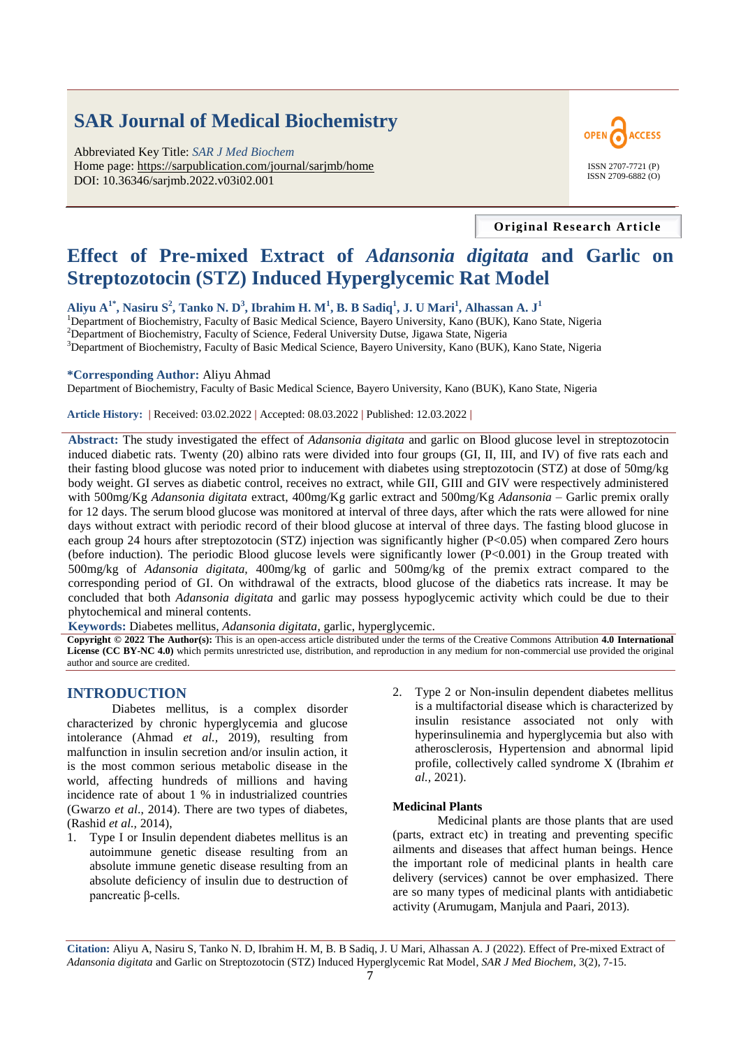# **SAR Journal of Medical Biochemistry**

Abbreviated Key Title: *SAR J Med Biochem* Home page: https://sarpublication.com/journal/sarjmb/home DOI: 10.36346/sarjmb.2022.v03i02.001



**Original Research Article**

# **Effect of Pre-mixed Extract of** *Adansonia digitata* **and Garlic on Streptozotocin (STZ) Induced Hyperglycemic Rat Model**

**Aliyu A1\*, Nasiru S<sup>2</sup> , Tanko N. D<sup>3</sup> , Ibrahim H. M<sup>1</sup> , B. B Sadiq<sup>1</sup> , J. U Mari<sup>1</sup> , Alhassan A. J<sup>1</sup>**

<sup>1</sup>Department of Biochemistry, Faculty of Basic Medical Science, Bayero University, Kano (BUK), Kano State, Nigeria <sup>2</sup> Department of Biochemistry, Faculty of Science, Federal University Dutse, Jigawa State, Nigeria

<sup>3</sup>Department of Biochemistry, Faculty of Basic Medical Science, Bayero University, Kano (BUK), Kano State, Nigeria

#### **\*Corresponding Author:** Aliyu Ahmad

Department of Biochemistry, Faculty of Basic Medical Science, Bayero University, Kano (BUK), Kano State, Nigeria

**Article History: |** Received: 03.02.2022 **|** Accepted: 08.03.2022 **|** Published: 12.03.2022 **|**

**Abstract:** The study investigated the effect of *Adansonia digitata* and garlic on Blood glucose level in streptozotocin induced diabetic rats. Twenty (20) albino rats were divided into four groups (GI, II, III, and IV) of five rats each and their fasting blood glucose was noted prior to inducement with diabetes using streptozotocin (STZ) at dose of 50mg/kg body weight. GI serves as diabetic control, receives no extract, while GII, GIII and GIV were respectively administered with 500mg/Kg *Adansonia digitata* extract, 400mg/Kg garlic extract and 500mg/Kg *Adansonia* – Garlic premix orally for 12 days. The serum blood glucose was monitored at interval of three days, after which the rats were allowed for nine days without extract with periodic record of their blood glucose at interval of three days. The fasting blood glucose in each group 24 hours after streptozotocin (STZ) injection was significantly higher (P<0.05) when compared Zero hours (before induction). The periodic Blood glucose levels were significantly lower (P<0.001) in the Group treated with 500mg/kg of *Adansonia digitata,* 400mg/kg of garlic and 500mg/kg of the premix extract compared to the corresponding period of GI. On withdrawal of the extracts, blood glucose of the diabetics rats increase. It may be concluded that both *Adansonia digitata* and garlic may possess hypoglycemic activity which could be due to their phytochemical and mineral contents.

**Keywords:** Diabetes mellitus, *Adansonia digitata*, garlic, hyperglycemic.

**Copyright © 2022 The Author(s):** This is an open-access article distributed under the terms of the Creative Commons Attribution **4.0 International License (CC BY-NC 4.0)** which permits unrestricted use, distribution, and reproduction in any medium for non-commercial use provided the original author and source are credited.

### **INTRODUCTION**

Diabetes mellitus, is a complex disorder characterized by chronic hyperglycemia and glucose intolerance (Ahmad *et al.,* 2019), resulting from malfunction in insulin secretion and/or insulin action, it is the most common serious metabolic disease in the world, affecting hundreds of millions and having incidence rate of about 1 % in industrialized countries (Gwarzo *et al*., 2014). There are two types of diabetes, (Rashid *et al.,* 2014),

- Type I or Insulin dependent diabetes mellitus is an autoimmune genetic disease resulting from an absolute immune genetic disease resulting from an absolute deficiency of insulin due to destruction of pancreatic β-cells.
- 2. Type 2 or Non-insulin dependent diabetes mellitus is a multifactorial disease which is characterized by insulin resistance associated not only with hyperinsulinemia and hyperglycemia but also with atherosclerosis, Hypertension and abnormal lipid profile, collectively called syndrome X (Ibrahim *et al.,* 2021).

#### **Medicinal Plants**

Medicinal plants are those plants that are used (parts, extract etc) in treating and preventing specific ailments and diseases that affect human beings. Hence the important role of medicinal plants in health care delivery (services) cannot be over emphasized. There are so many types of medicinal plants with antidiabetic activity (Arumugam, Manjula and Paari, 2013).

**Citation:** Aliyu A, Nasiru S, Tanko N. D, Ibrahim H. M, B. B Sadiq, J. U Mari, Alhassan A. J (2022). Effect of Pre-mixed Extract of *Adansonia digitata* and Garlic on Streptozotocin (STZ) Induced Hyperglycemic Rat Model, *SAR J Med Biochem*, 3(2), 7-15.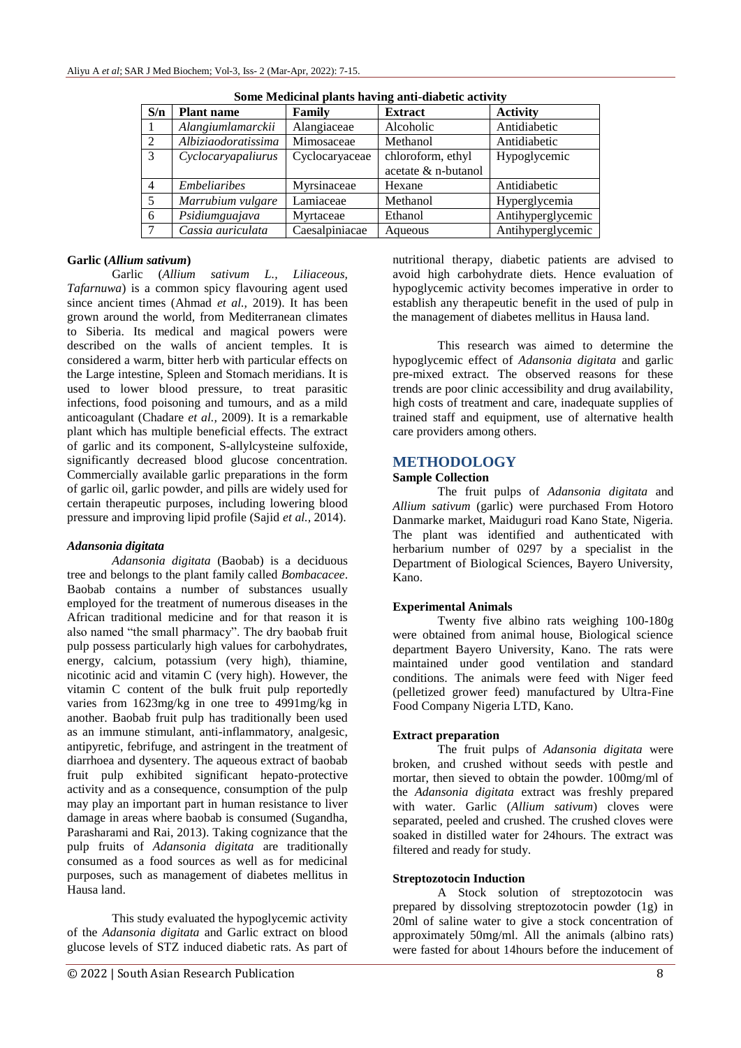| S/n            | <b>Plant name</b>   | Family         | <b>Extract</b>      | <b>Activity</b>   |
|----------------|---------------------|----------------|---------------------|-------------------|
|                | Alangiumlamarckii   | Alangiaceae    | Alcoholic           | Antidiabetic      |
| 2              | Albiziaodoratissima | Mimosaceae     | Methanol            | Antidiabetic      |
| 3              | Cyclocaryapaliurus  | Cyclocaryaceae | chloroform, ethyl   | Hypoglycemic      |
|                |                     |                | acetate & n-butanol |                   |
| $\overline{4}$ | <b>Embeliaribes</b> | Myrsinaceae    | Hexane              | Antidiabetic      |
| -5             | Marrubium vulgare   | Lamiaceae      | Methanol            | Hyperglycemia     |
| 6              | Psidiumguajava      | Myrtaceae      | Ethanol             | Antihyperglycemic |
| $\mathcal{I}$  | Cassia auriculata   | Caesalpiniacae | Aqueous             | Antihyperglycemic |

**Some Medicinal plants having anti-diabetic activity**

### **Garlic (***Allium sativum***)**

Garlic (*Allium sativum L., Liliaceous, Tafarnuwa*) is a common spicy flavouring agent used since ancient times (Ahmad *et al.,* 2019). It has been grown around the world, from Mediterranean climates to Siberia. Its medical and magical powers were described on the walls of ancient temples. It is considered a warm, bitter herb with particular effects on the Large intestine, Spleen and Stomach meridians. It is used to lower blood pressure, to treat parasitic infections, food poisoning and tumours, and as a mild anticoagulant (Chadare *et al.,* 2009). It is a remarkable plant which has multiple beneficial effects. The extract of garlic and its component, S-allylcysteine sulfoxide, significantly decreased blood glucose concentration. Commercially available garlic preparations in the form of garlic oil, garlic powder, and pills are widely used for certain therapeutic purposes, including lowering blood pressure and improving lipid profile (Sajid *et al.,* 2014).

## *Adansonia digitata*

*Adansonia digitata* (Baobab) is a deciduous tree and belongs to the plant family called *Bombacacee*. Baobab contains a number of substances usually employed for the treatment of numerous diseases in the African traditional medicine and for that reason it is also named "the small pharmacy". The dry baobab fruit pulp possess particularly high values for carbohydrates, energy, calcium, potassium (very high), thiamine, nicotinic acid and vitamin C (very high). However, the vitamin C content of the bulk fruit pulp reportedly varies from 1623mg/kg in one tree to 4991mg/kg in another. Baobab fruit pulp has traditionally been used as an immune stimulant, anti-inflammatory, analgesic, antipyretic, febrifuge, and astringent in the treatment of diarrhoea and dysentery. The aqueous extract of baobab fruit pulp exhibited significant hepato-protective activity and as a consequence, consumption of the pulp may play an important part in human resistance to liver damage in areas where baobab is consumed (Sugandha, Parasharami and Rai, 2013). Taking cognizance that the pulp fruits of *Adansonia digitata* are traditionally consumed as a food sources as well as for medicinal purposes, such as management of diabetes mellitus in Hausa land.

This study evaluated the hypoglycemic activity of the *Adansonia digitata* and Garlic extract on blood glucose levels of STZ induced diabetic rats. As part of nutritional therapy, diabetic patients are advised to avoid high carbohydrate diets. Hence evaluation of hypoglycemic activity becomes imperative in order to establish any therapeutic benefit in the used of pulp in the management of diabetes mellitus in Hausa land.

This research was aimed to determine the hypoglycemic effect of *Adansonia digitata* and garlic pre-mixed extract. The observed reasons for these trends are poor clinic accessibility and drug availability, high costs of treatment and care, inadequate supplies of trained staff and equipment, use of alternative health care providers among others.

## **METHODOLOGY**

### **Sample Collection**

The fruit pulps of *Adansonia digitata* and *Allium sativum* (garlic) were purchased From Hotoro Danmarke market, Maiduguri road Kano State, Nigeria. The plant was identified and authenticated with herbarium number of 0297 by a specialist in the Department of Biological Sciences, Bayero University, Kano.

#### **Experimental Animals**

Twenty five albino rats weighing 100-180g were obtained from animal house, Biological science department Bayero University, Kano. The rats were maintained under good ventilation and standard conditions. The animals were feed with Niger feed (pelletized grower feed) manufactured by Ultra-Fine Food Company Nigeria LTD, Kano.

#### **Extract preparation**

The fruit pulps of *Adansonia digitata* were broken, and crushed without seeds with pestle and mortar, then sieved to obtain the powder. 100mg/ml of the *Adansonia digitata* extract was freshly prepared with water. Garlic (*Allium sativum*) cloves were separated, peeled and crushed. The crushed cloves were soaked in distilled water for 24hours. The extract was filtered and ready for study.

#### **Streptozotocin Induction**

A Stock solution of streptozotocin was prepared by dissolving streptozotocin powder (1g) in 20ml of saline water to give a stock concentration of approximately 50mg/ml. All the animals (albino rats) were fasted for about 14hours before the inducement of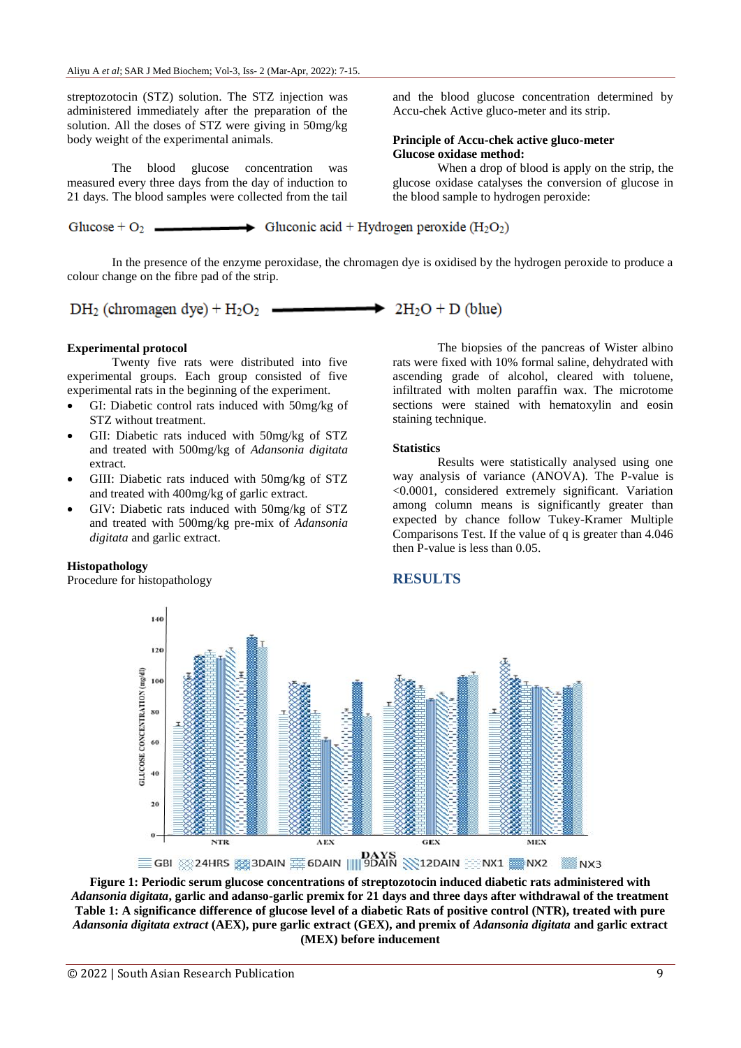streptozotocin (STZ) solution. The STZ injection was administered immediately after the preparation of the solution. All the doses of STZ were giving in 50mg/kg body weight of the experimental animals.

The blood glucose concentration was measured every three days from the day of induction to 21 days. The blood samples were collected from the tail

Glucose +  $O_2$ .

 $\longrightarrow$  Gluconic acid + Hydrogen peroxide (H<sub>2</sub>O<sub>2</sub>)

In the presence of the enzyme peroxidase, the chromagen dye is oxidised by the hydrogen peroxide to produce a colour change on the fibre pad of the strip.

 $DH_2$  (chromagen dye) +  $H_2O_2$  =  $\longrightarrow$  2H<sub>2</sub>O + D (blue)

#### **Experimental protocol**

Twenty five rats were distributed into five experimental groups. Each group consisted of five experimental rats in the beginning of the experiment.

- GI: Diabetic control rats induced with 50mg/kg of STZ without treatment.
- GII: Diabetic rats induced with 50mg/kg of STZ and treated with 500mg/kg of *Adansonia digitata*  extract*.*
- GIII: Diabetic rats induced with 50mg/kg of STZ and treated with 400mg/kg of garlic extract.
- GIV: Diabetic rats induced with 50mg/kg of STZ and treated with 500mg/kg pre-mix of *Adansonia digitata* and garlic extract.

#### **Histopathology**

Procedure for histopathology

The biopsies of the pancreas of Wister albino rats were fixed with 10% formal saline, dehydrated with ascending grade of alcohol, cleared with toluene, infiltrated with molten paraffin wax. The microtome sections were stained with hematoxylin and eosin staining technique.

and the blood glucose concentration determined by

glucose oxidase catalyses the conversion of glucose in

When a drop of blood is apply on the strip, the

Accu-chek Active gluco-meter and its strip.

**Principle of Accu-chek active gluco-meter**

the blood sample to hydrogen peroxide:

**Glucose oxidase method:**

#### **Statistics**

Results were statistically analysed using one way analysis of variance (ANOVA). The P-value is <0.0001, considered extremely significant. Variation among column means is significantly greater than expected by chance follow Tukey-Kramer Multiple Comparisons Test. If the value of q is greater than 4.046 then P-value is less than 0.05.



**Figure 1: Periodic serum glucose concentrations of streptozotocin induced diabetic rats administered with**  *Adansonia digitata***, garlic and adanso-garlic premix for 21 days and three days after withdrawal of the treatment Table 1: A significance difference of glucose level of a diabetic Rats of positive control (NTR), treated with pure**  *Adansonia digitata extract* **(AEX), pure garlic extract (GEX), and premix of** *Adansonia digitata* **and garlic extract (MEX) before inducement**

# **RESULTS**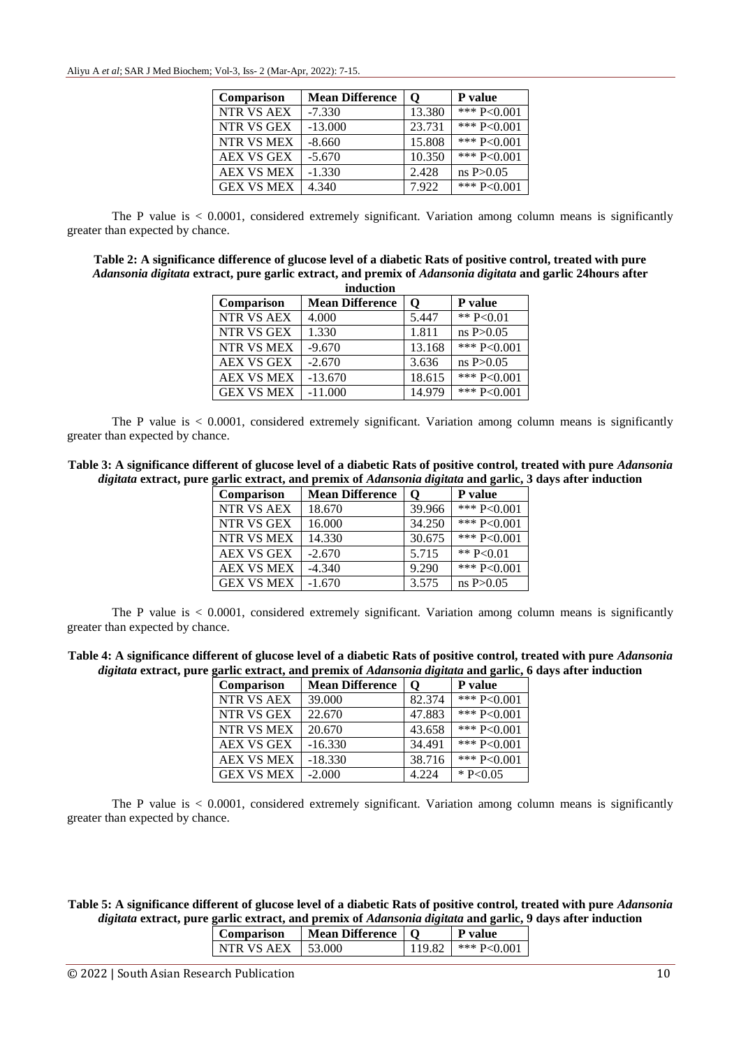| Comparison        | <b>Mean Difference</b> | O      | P value         |
|-------------------|------------------------|--------|-----------------|
| NTR VS AEX        | $-7.330$               | 13.380 | *** $P < 0.001$ |
| NTR VS GEX        | $-13.000$              | 23.731 | *** $P < 0.001$ |
| NTR VS MEX        | $-8.660$               | 15.808 | *** $P < 0.001$ |
| <b>AEX VS GEX</b> | $-5.670$               | 10.350 | *** $P < 0.001$ |
| <b>AEX VS MEX</b> | $-1.330$               | 2.428  | ns P > 0.05     |
| <b>GEX VS MEX</b> | 4.340                  | 7.922  | *** $P < 0.001$ |

The P value is  $\lt$  0.0001, considered extremely significant. Variation among column means is significantly greater than expected by chance.

**Table 2: A significance difference of glucose level of a diabetic Rats of positive control, treated with pure**  *Adansonia digitata* **extract, pure garlic extract, and premix of** *Adansonia digitata* **and garlic 24hours after induction**

| Comparison        | <b>Mean Difference</b> | О      | P value         |  |
|-------------------|------------------------|--------|-----------------|--|
| NTR VS AEX        | 4.000                  | 5.447  | ** $P<0.01$     |  |
| NTR VS GEX        | 1.330                  | 1.811  | ns P > 0.05     |  |
| NTR VS MEX        | $-9.670$               | 13.168 | *** $P < 0.001$ |  |
| AEX VS GEX        | $-2.670$               | 3.636  | ns P > 0.05     |  |
| <b>AEX VS MEX</b> | $-13.670$              | 18.615 | *** $P<0.001$   |  |
| <b>GEX VS MEX</b> | $-11.000$              | 14.979 | *** $P < 0.001$ |  |

The P value is  $\lt$  0.0001, considered extremely significant. Variation among column means is significantly greater than expected by chance.

| Table 3: A significance different of glucose level of a diabetic Rats of positive control, treated with pure Adansonia   |  |
|--------------------------------------------------------------------------------------------------------------------------|--|
| <i>digitata</i> extract, pure garlic extract, and premix of <i>Adansonia digitata</i> and garlic, 3 days after induction |  |

| <b>Comparison</b> | <b>Mean Difference</b> | 0      | P value         |
|-------------------|------------------------|--------|-----------------|
| NTR VS AEX        | 18.670                 | 39.966 | *** $P < 0.001$ |
| NTR VS GEX        | 16.000                 | 34.250 | *** $P < 0.001$ |
| NTR VS MEX        | 14.330                 | 30.675 | *** $P < 0.001$ |
| <b>AEX VS GEX</b> | $-2.670$               | 5.715  | ** $P < 0.01$   |
| <b>AEX VS MEX</b> | $-4.340$               | 9.290  | *** $P<0.001$   |
| <b>GEX VS MEX</b> | $-1.670$               | 3.575  | ns P > 0.05     |

The P value is  $\lt$  0.0001, considered extremely significant. Variation among column means is significantly greater than expected by chance.

| Table 4: A significance different of glucose level of a diabetic Rats of positive control, treated with pure <i>Adansonia</i> |  |  |
|-------------------------------------------------------------------------------------------------------------------------------|--|--|
| digitata extract, pure garlic extract, and premix of <i>Adansonia digitata</i> and garlic, 6 days after induction             |  |  |

| Comparison        | <b>Mean Difference</b> | O      | P value         |
|-------------------|------------------------|--------|-----------------|
| <b>NTR VS AEX</b> | 39.000                 | 82.374 | *** $P<0.001$   |
| NTR VS GEX        | 22.670                 | 47.883 | *** $P < 0.001$ |
| NTR VS MEX        | 20.670                 | 43.658 | *** P<0.001     |
| <b>AEX VS GEX</b> | $-16.330$              | 34.491 | *** $P < 0.001$ |
| <b>AEX VS MEX</b> | $-18.330$              | 38.716 | *** $P<0.001$   |
| <b>GEX VS MEX</b> | $-2.000$               | 4.224  | * $P<0.05$      |

The P value is  $\lt$  0.0001, considered extremely significant. Variation among column means is significantly greater than expected by chance.

**Table 5: A significance different of glucose level of a diabetic Rats of positive control, treated with pure** *Adansonia digitata* **extract, pure garlic extract, and premix of** *Adansonia digitata* **and garlic, 9 days after induction**

| Comparison   | Mean Difference   O |        | <b>P</b> value |
|--------------|---------------------|--------|----------------|
| I NTR VS AEX | L 53.000            | 119.82 | $*** P< 0.001$ |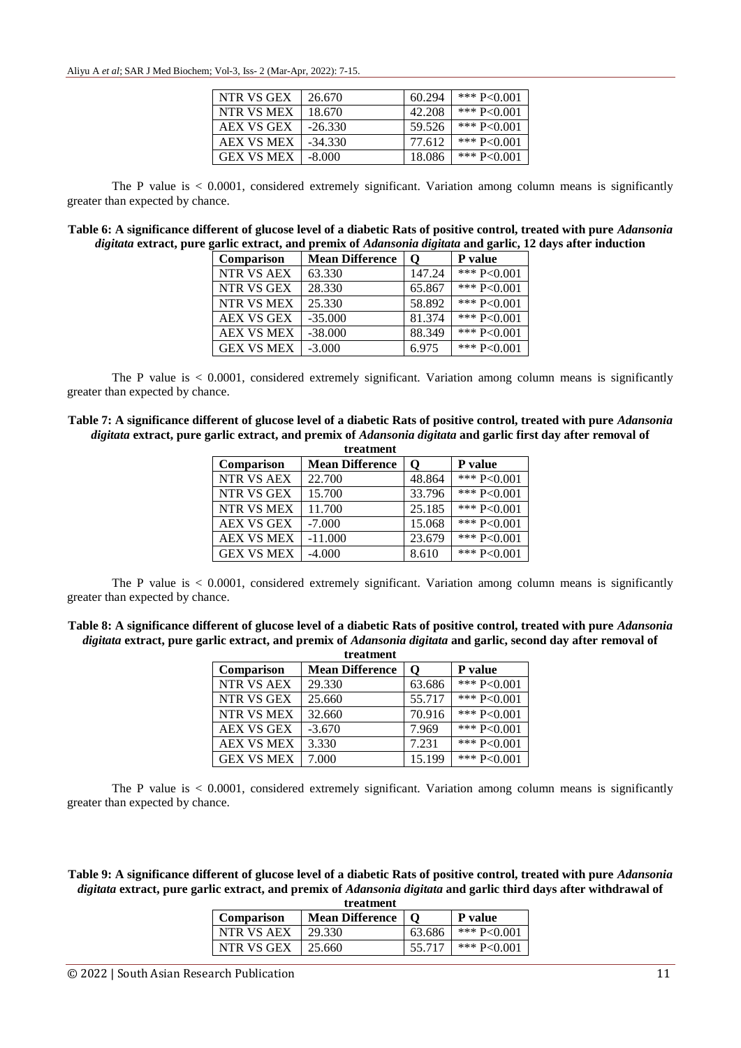Aliyu A *et al*; SAR J Med Biochem; Vol-3, Iss- 2 (Mar-Apr, 2022): 7-15.

| NTR VS GEX        | 26.670    | 60.294 | *** $P<0.001$ |
|-------------------|-----------|--------|---------------|
| NTR VS MEX        | 18.670    | 42.208 | *** $P<0.001$ |
| AEX VS GEX        | $-26.330$ | 59.526 | *** $P<0.001$ |
| <b>AEX VS MEX</b> | $-34.330$ | 77.612 | *** $P<0.001$ |
| <b>GEX VS MEX</b> | -8.000    | 18.086 | *** $P<0.001$ |

The P value is  $\lt$  0.0001, considered extremely significant. Variation among column means is significantly greater than expected by chance.

| Table 6: A significance different of glucose level of a diabetic Rats of positive control, treated with pure Adansonia |
|------------------------------------------------------------------------------------------------------------------------|
| digitata extract, pure garlic extract, and premix of Adansonia digitata and garlic, 12 days after induction            |

| <b>Comparison</b> | <b>Mean Difference</b> | O      | P value         |
|-------------------|------------------------|--------|-----------------|
| NTR VS AEX        | 63.330                 | 147.24 | *** $P < 0.001$ |
| NTR VS GEX        | 28.330                 | 65.867 | *** $P < 0.001$ |
| NTR VS MEX        | 25.330                 | 58.892 | *** $P < 0.001$ |
| <b>AEX VS GEX</b> | $-35.000$              | 81.374 | *** $P < 0.001$ |
| <b>AEX VS MEX</b> | $-38,000$              | 88.349 | *** $P < 0.001$ |
| <b>GEX VS MEX</b> | $-3.000$               | 6.975  | *** $P < 0.001$ |

The P value is < 0.0001, considered extremely significant. Variation among column means is significantly greater than expected by chance.

**Table 7: A significance different of glucose level of a diabetic Rats of positive control, treated with pure** *Adansonia digitata* **extract, pure garlic extract, and premix of** *Adansonia digitata* **and garlic first day after removal of** 

| treatment         |                        |        |                 |  |
|-------------------|------------------------|--------|-----------------|--|
| <b>Comparison</b> | <b>Mean Difference</b> |        | <b>P</b> value  |  |
| NTR VS AEX        | 22.700                 | 48.864 | *** $P<0.001$   |  |
| NTR VS GEX        | 15.700                 | 33.796 | *** P<0.001     |  |
| NTR VS MEX        | 11.700                 | 25.185 | *** $P < 0.001$ |  |
| AEX VS GEX        | $-7.000$               | 15.068 | *** $P < 0.001$ |  |
| <b>AEX VS MEX</b> | $-11.000$              | 23.679 | *** $P < 0.001$ |  |
| <b>GEX VS MEX</b> | $-4.000$               | 8.610  | *** P<0.001     |  |

The P value is  $\lt$  0.0001, considered extremely significant. Variation among column means is significantly greater than expected by chance.

**Table 8: A significance different of glucose level of a diabetic Rats of positive control, treated with pure** *Adansonia digitata* **extract, pure garlic extract, and premix of** *Adansonia digitata* **and garlic, second day after removal of** 

| treatment         |                             |        |                 |  |
|-------------------|-----------------------------|--------|-----------------|--|
| Comparison        | <b>Mean Difference</b><br>О |        | <b>P</b> value  |  |
| NTR VS AEX        | 29.330                      | 63.686 | *** $P<0.001$   |  |
| NTR VS GEX        | 25.660                      | 55.717 | *** $P < 0.001$ |  |
| NTR VS MEX        | 32.660                      | 70.916 | *** $P < 0.001$ |  |
| <b>AEX VS GEX</b> | $-3.670$                    | 7.969  | *** $P<0.001$   |  |
| <b>AEX VS MEX</b> | 3.330                       | 7.231  | *** $P < 0.001$ |  |
| <b>GEX VS MEX</b> | 7.000                       | 15.199 | *** $P < 0.001$ |  |

The P value is < 0.0001, considered extremely significant. Variation among column means is significantly greater than expected by chance.

**Table 9: A significance different of glucose level of a diabetic Rats of positive control, treated with pure** *Adansonia digitata* **extract, pure garlic extract, and premix of** *Adansonia digitata* **and garlic third days after withdrawal of** 

| treatment  |                        |          |                |  |
|------------|------------------------|----------|----------------|--|
| Comparison | <b>Mean Difference</b> | $\Omega$ | <b>P</b> value |  |
| NTR VS AEX | 29.330                 | 63.686   | *** P<0.001    |  |
| NTR VS GEX | 25.660                 | 55.717   | *** $P<0.001$  |  |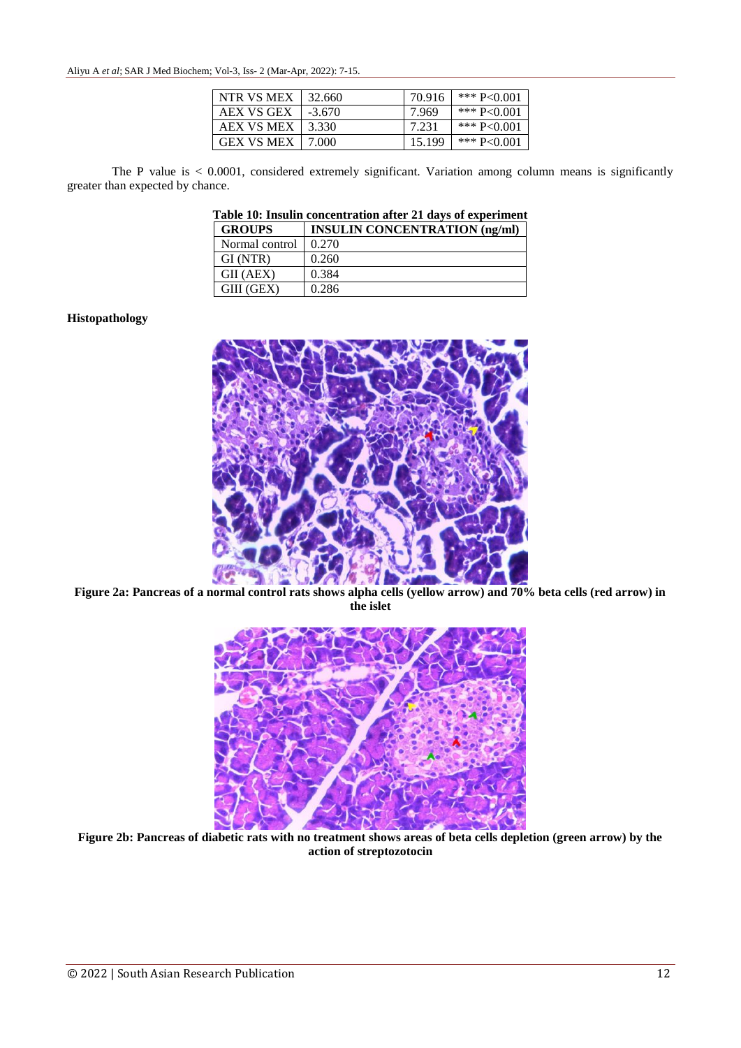Aliyu A *et al*; SAR J Med Biochem; Vol-3, Iss- 2 (Mar-Apr, 2022): 7-15.

| NTR VS MEX        | 32.660   | 70.916 | *** $P<0.001$ |
|-------------------|----------|--------|---------------|
| AEX VS GEX        | $-3.670$ | 7.969  | *** P<0.001   |
| <b>AEX VS MEX</b> | 3.330    | 7.231  | *** $P<0.001$ |
| <b>GEX VS MEX</b> | 7.000    | 15.199 | *** $P<0.001$ |

The P value is < 0.0001, considered extremely significant. Variation among column means is significantly greater than expected by chance.

**Table 10: Insulin concentration after 21 days of experiment**

| <b>GROUPS</b>  | <b>INSULIN CONCENTRATION (ng/ml)</b> |
|----------------|--------------------------------------|
| Normal control | 0.270                                |
| GI (NTR)       | 0.260                                |
| GII (AEX)      | 0.384                                |
| GIII (GEX)     | 0.286                                |

#### **Histopathology**



**Figure 2a: Pancreas of a normal control rats shows alpha cells (yellow arrow) and 70% beta cells (red arrow) in the islet**



**Figure 2b: Pancreas of diabetic rats with no treatment shows areas of beta cells depletion (green arrow) by the action of streptozotocin**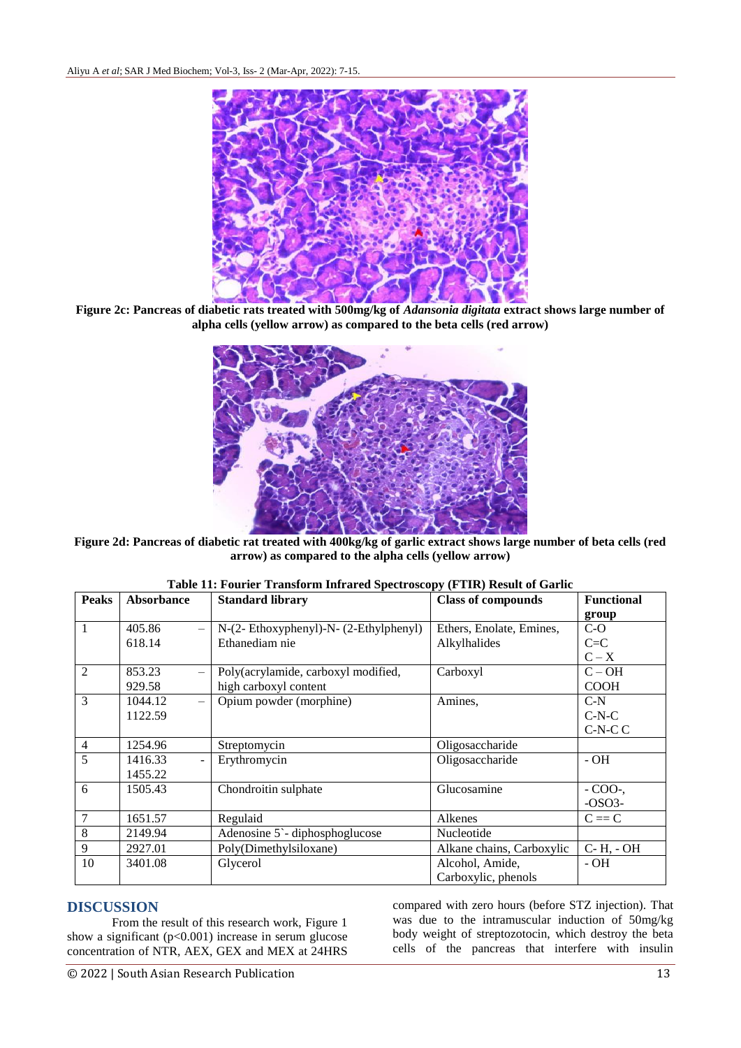

**Figure 2c: Pancreas of diabetic rats treated with 500mg/kg of** *Adansonia digitata* **extract shows large number of alpha cells (yellow arrow) as compared to the beta cells (red arrow)**



**Figure 2d: Pancreas of diabetic rat treated with 400kg/kg of garlic extract shows large number of beta cells (red arrow) as compared to the alpha cells (yellow arrow)**

| <b>Peaks</b>   | <b>Absorbance</b>         | <b>Standard library</b>               | <b>Class of compounds</b> | <b>Functional</b> |
|----------------|---------------------------|---------------------------------------|---------------------------|-------------------|
|                |                           |                                       |                           | group             |
| 1              | 405.86                    | N-(2-Ethoxyphenyl)-N- (2-Ethylphenyl) | Ethers, Enolate, Emines,  | $C-O$             |
|                | 618.14                    | Ethanediam nie                        | Alkylhalides              | $C = C$           |
|                |                           |                                       |                           | $C - X$           |
| 2              | 853.23                    | Poly(acrylamide, carboxyl modified,   | Carboxyl                  | $C - OH$          |
|                | 929.58                    | high carboxyl content                 |                           | <b>COOH</b>       |
| 3              | 1044.12                   | Opium powder (morphine)               | Amines,                   | $C-N$             |
|                | 1122.59                   |                                       |                           | $C-N-C$           |
|                |                           |                                       |                           | $C-N-C$           |
| $\overline{4}$ | 1254.96                   | Streptomycin                          | Oligosaccharide           |                   |
| 5              | 1416.33<br>$\blacksquare$ | Erythromycin                          | Oligosaccharide           | $-OH$             |
|                | 1455.22                   |                                       |                           |                   |
| 6              | 1505.43                   | Chondroitin sulphate                  | Glucosamine               | $-COO2$ .         |
|                |                           |                                       |                           | $-OSO3-$          |
| 7              | 1651.57                   | Regulaid                              | Alkenes                   | $C \equiv C$      |
| 8              | 2149.94                   | Adenosine 5 - diphosphoglucose        | Nucleotide                |                   |
| 9              | 2927.01                   | Poly(Dimethylsiloxane)                | Alkane chains, Carboxylic | $C - H$ , $- OH$  |
| 10             | 3401.08                   | Glycerol                              | Alcohol, Amide,           | - OH              |
|                |                           |                                       | Carboxylic, phenols       |                   |

### **Table 11: Fourier Transform Infrared Spectroscopy (FTIR) Result of Garlic**

## **DISCUSSION**

From the result of this research work, Figure 1 show a significant  $(p<0.001)$  increase in serum glucose concentration of NTR, AEX, GEX and MEX at 24HRS compared with zero hours (before STZ injection). That was due to the intramuscular induction of 50mg/kg body weight of streptozotocin, which destroy the beta cells of the pancreas that interfere with insulin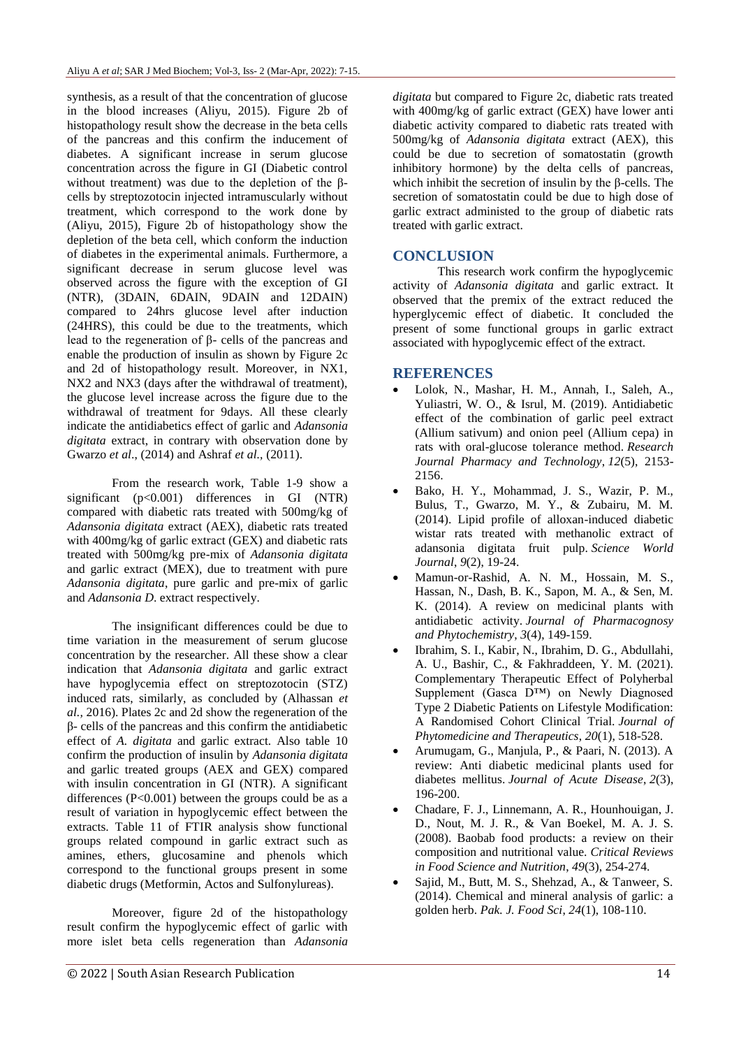synthesis, as a result of that the concentration of glucose in the blood increases (Aliyu, 2015). Figure 2b of histopathology result show the decrease in the beta cells of the pancreas and this confirm the inducement of diabetes. A significant increase in serum glucose concentration across the figure in GI (Diabetic control without treatment) was due to the depletion of the βcells by streptozotocin injected intramuscularly without treatment, which correspond to the work done by (Aliyu, 2015), Figure 2b of histopathology show the depletion of the beta cell, which conform the induction of diabetes in the experimental animals. Furthermore, a significant decrease in serum glucose level was observed across the figure with the exception of GI (NTR), (3DAIN, 6DAIN, 9DAIN and 12DAIN) compared to 24hrs glucose level after induction (24HRS), this could be due to the treatments, which lead to the regeneration of β- cells of the pancreas and enable the production of insulin as shown by Figure 2c and 2d of histopathology result. Moreover, in NX1, NX2 and NX3 (days after the withdrawal of treatment), the glucose level increase across the figure due to the withdrawal of treatment for 9days. All these clearly indicate the antidiabetics effect of garlic and *Adansonia digitata* extract, in contrary with observation done by Gwarzo *et al*., (2014) and Ashraf *et al.,* (2011).

From the research work, Table 1-9 show a significant  $(p<0.001)$  differences in GI (NTR) compared with diabetic rats treated with 500mg/kg of *Adansonia digitata* extract (AEX), diabetic rats treated with 400mg/kg of garlic extract (GEX) and diabetic rats treated with 500mg/kg pre-mix of *Adansonia digitata*  and garlic extract (MEX), due to treatment with pure *Adansonia digitata*, pure garlic and pre-mix of garlic and *Adansonia D*. extract respectively.

The insignificant differences could be due to time variation in the measurement of serum glucose concentration by the researcher. All these show a clear indication that *Adansonia digitata* and garlic extract have hypoglycemia effect on streptozotocin (STZ) induced rats, similarly, as concluded by (Alhassan *et al.,* 2016). Plates 2c and 2d show the regeneration of the β- cells of the pancreas and this confirm the antidiabetic effect of *A. digitata* and garlic extract. Also table 10 confirm the production of insulin by *Adansonia digitata*  and garlic treated groups (AEX and GEX) compared with insulin concentration in GI (NTR). A significant differences  $(P<0.001)$  between the groups could be as a result of variation in hypoglycemic effect between the extracts. Table 11 of FTIR analysis show functional groups related compound in garlic extract such as amines, ethers, glucosamine and phenols which correspond to the functional groups present in some diabetic drugs (Metformin, Actos and Sulfonylureas).

Moreover, figure 2d of the histopathology result confirm the hypoglycemic effect of garlic with more islet beta cells regeneration than *Adansonia* 

Type 2 Diabetic Patients on Lifestyle Modification: A Randomised Cohort Clinical Trial. *Journal of Phytomedicine and Therapeutics*, *20*(1), 518-528.

 Arumugam, G., Manjula, P., & Paari, N. (2013). A review: Anti diabetic medicinal plants used for diabetes mellitus. *Journal of Acute Disease*, *2*(3), 196-200.

- Chadare, F. J., Linnemann, A. R., Hounhouigan, J. D., Nout, M. J. R., & Van Boekel, M. A. J. S. (2008). Baobab food products: a review on their composition and nutritional value. *Critical Reviews in Food Science and Nutrition*, *49*(3), 254-274.
- Sajid, M., Butt, M. S., Shehzad, A., & Tanweer, S. (2014). Chemical and mineral analysis of garlic: a golden herb. *Pak. J. Food Sci*, *24*(1), 108-110.

*digitata* but compared to Figure 2c, diabetic rats treated with 400mg/kg of garlic extract (GEX) have lower anti diabetic activity compared to diabetic rats treated with 500mg/kg of *Adansonia digitata* extract (AEX), this could be due to secretion of somatostatin (growth inhibitory hormone) by the delta cells of pancreas, which inhibit the secretion of insulin by the  $\beta$ -cells. The secretion of somatostatin could be due to high dose of garlic extract administed to the group of diabetic rats treated with garlic extract.

# **CONCLUSION**

This research work confirm the hypoglycemic activity of *Adansonia digitata* and garlic extract. It observed that the premix of the extract reduced the hyperglycemic effect of diabetic*.* It concluded the present of some functional groups in garlic extract associated with hypoglycemic effect of the extract.

# **REFERENCES**

- Lolok, N., Mashar, H. M., Annah, I., Saleh, A., Yuliastri, W. O., & Isrul, M. (2019). Antidiabetic effect of the combination of garlic peel extract (Allium sativum) and onion peel (Allium cepa) in rats with oral-glucose tolerance method. *Research Journal Pharmacy and Technology*, *12*(5), 2153- 2156.
- Bako, H. Y., Mohammad, J. S., Wazir, P. M., Bulus, T., Gwarzo, M. Y., & Zubairu, M. M. (2014). Lipid profile of alloxan-induced diabetic wistar rats treated with methanolic extract of adansonia digitata fruit pulp. *Science World Journal*, *9*(2), 19-24.
- Mamun-or-Rashid, A. N. M., Hossain, M. S., Hassan, N., Dash, B. K., Sapon, M. A., & Sen, M. K. (2014). A review on medicinal plants with antidiabetic activity. *Journal of Pharmacognosy and Phytochemistry*, *3*(4), 149-159.

 Ibrahim, S. I., Kabir, N., Ibrahim, D. G., Abdullahi, A. U., Bashir, C., & Fakhraddeen, Y. M. (2021). Complementary Therapeutic Effect of Polyherbal Supplement (Gasca D™) on Newly Diagnosed